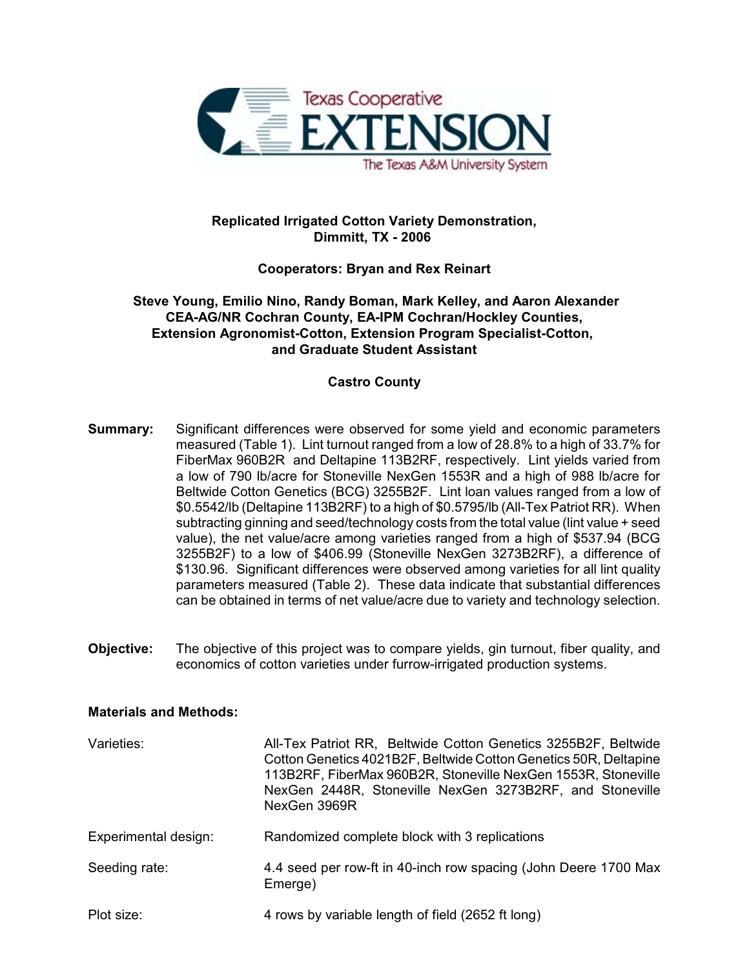

# **Replicated Irrigated Cotton Variety Demonstration, Dimmitt, TX - 2006**

# **Cooperators: Bryan and Rex Reinart**

 **Steve Young, Emilio Nino, Randy Boman, Mark Kelley, and Aaron Alexander CEA-AG/NR Cochran County, EA-IPM Cochran/Hockley Counties, Extension Agronomist-Cotton, Extension Program Specialist-Cotton, and Graduate Student Assistant**

# **Castro County**

- **Summary:** Significant differences were observed for some yield and economic parameters measured (Table 1). Lint turnout ranged from a low of 28.8% to a high of 33.7% for FiberMax 960B2R and Deltapine 113B2RF, respectively. Lint yields varied from a low of 790 lb/acre for Stoneville NexGen 1553R and a high of 988 lb/acre for Beltwide Cotton Genetics (BCG) 3255B2F. Lint loan values ranged from a low of \$0.5542/lb (Deltapine 113B2RF) to a high of \$0.5795/lb (All-Tex Patriot RR). When subtracting ginning and seed/technology costs from the total value (lint value + seed value), the net value/acre among varieties ranged from a high of \$537.94 (BCG 3255B2F) to a low of \$406.99 (Stoneville NexGen 3273B2RF), a difference of \$130.96. Significant differences were observed among varieties for all lint quality parameters measured (Table 2). These data indicate that substantial differences can be obtained in terms of net value/acre due to variety and technology selection.
- **Objective:** The objective of this project was to compare yields, gin turnout, fiber quality, and economics of cotton varieties under furrow-irrigated production systems.

## **Materials and Methods:**

| Varieties:           | All-Tex Patriot RR, Beltwide Cotton Genetics 3255B2F, Beltwide<br>Cotton Genetics 4021B2F, Beltwide Cotton Genetics 50R, Deltapine<br>113B2RF, FiberMax 960B2R, Stoneville NexGen 1553R, Stoneville<br>NexGen 2448R, Stoneville NexGen 3273B2RF, and Stoneville<br>NexGen 3969R |
|----------------------|---------------------------------------------------------------------------------------------------------------------------------------------------------------------------------------------------------------------------------------------------------------------------------|
| Experimental design: | Randomized complete block with 3 replications                                                                                                                                                                                                                                   |
| Seeding rate:        | 4.4 seed per row-ft in 40-inch row spacing (John Deere 1700 Max<br>Emerge)                                                                                                                                                                                                      |
| Plot size:           | 4 rows by variable length of field (2652 ft long)                                                                                                                                                                                                                               |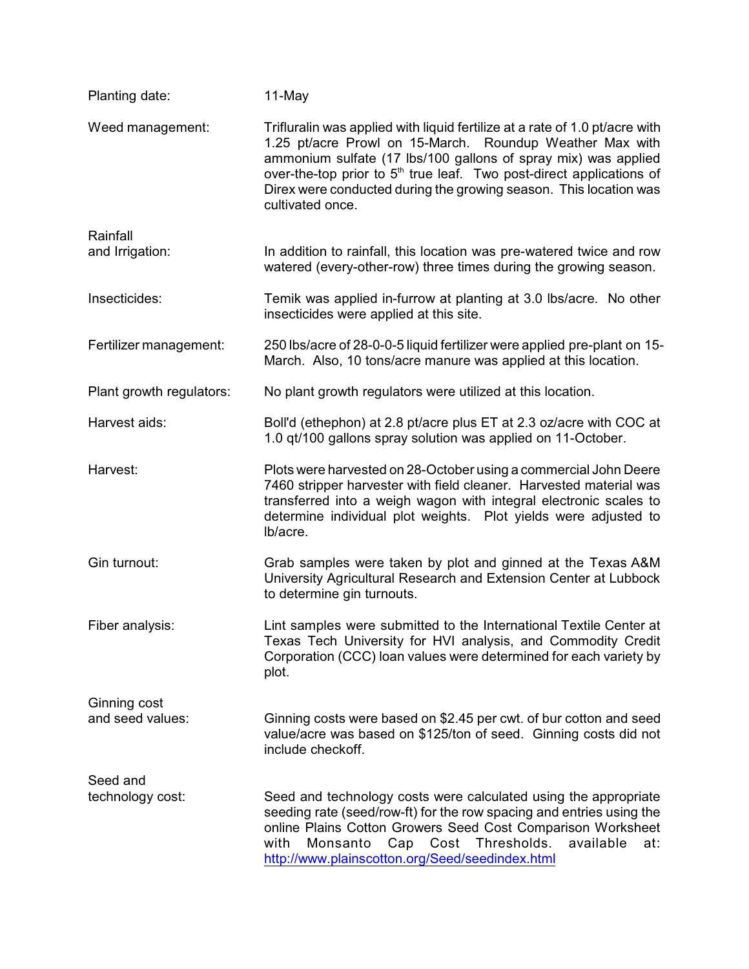| Planting date:                   | 11-May                                                                                                                                                                                                                                                                                                                                                                                 |
|----------------------------------|----------------------------------------------------------------------------------------------------------------------------------------------------------------------------------------------------------------------------------------------------------------------------------------------------------------------------------------------------------------------------------------|
| Weed management:                 | Trifluralin was applied with liquid fertilize at a rate of 1.0 pt/acre with<br>1.25 pt/acre Prowl on 15-March. Roundup Weather Max with<br>ammonium sulfate (17 lbs/100 gallons of spray mix) was applied<br>over-the-top prior to 5 <sup>th</sup> true leaf. Two post-direct applications of<br>Direx were conducted during the growing season. This location was<br>cultivated once. |
| Rainfall<br>and Irrigation:      | In addition to rainfall, this location was pre-watered twice and row<br>watered (every-other-row) three times during the growing season.                                                                                                                                                                                                                                               |
| Insecticides:                    | Temik was applied in-furrow at planting at 3.0 lbs/acre. No other<br>insecticides were applied at this site.                                                                                                                                                                                                                                                                           |
| Fertilizer management:           | 250 lbs/acre of 28-0-0-5 liquid fertilizer were applied pre-plant on 15-<br>March. Also, 10 tons/acre manure was applied at this location.                                                                                                                                                                                                                                             |
| Plant growth regulators:         | No plant growth regulators were utilized at this location.                                                                                                                                                                                                                                                                                                                             |
| Harvest aids:                    | Boll'd (ethephon) at 2.8 pt/acre plus ET at 2.3 oz/acre with COC at<br>1.0 qt/100 gallons spray solution was applied on 11-October.                                                                                                                                                                                                                                                    |
| Harvest:                         | Plots were harvested on 28-October using a commercial John Deere<br>7460 stripper harvester with field cleaner. Harvested material was<br>transferred into a weigh wagon with integral electronic scales to<br>determine individual plot weights. Plot yields were adjusted to<br>lb/acre.                                                                                             |
| Gin turnout:                     | Grab samples were taken by plot and ginned at the Texas A&M<br>University Agricultural Research and Extension Center at Lubbock<br>to determine gin turnouts.                                                                                                                                                                                                                          |
| Fiber analysis:                  | Lint samples were submitted to the International Textile Center at<br>Texas Tech University for HVI analysis, and Commodity Credit<br>Corporation (CCC) loan values were determined for each variety by<br>plot.                                                                                                                                                                       |
| Ginning cost<br>and seed values: | Ginning costs were based on \$2.45 per cwt. of bur cotton and seed<br>value/acre was based on \$125/ton of seed. Ginning costs did not<br>include checkoff.                                                                                                                                                                                                                            |
| Seed and<br>technology cost:     | Seed and technology costs were calculated using the appropriate<br>seeding rate (seed/row-ft) for the row spacing and entries using the<br>online Plains Cotton Growers Seed Cost Comparison Worksheet<br>Cap Cost<br>Thresholds.<br>with<br>Monsanto<br>available<br>at:<br>http://www.plainscotton.org/Seed/seedindex.html                                                           |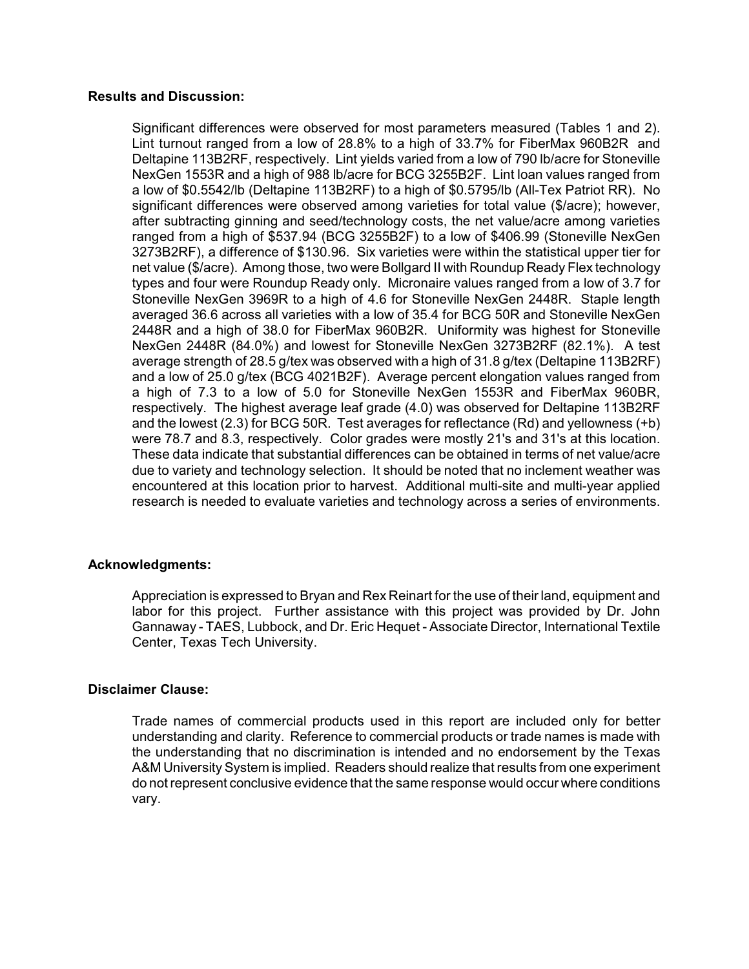### **Results and Discussion:**

Significant differences were observed for most parameters measured (Tables 1 and 2). Lint turnout ranged from a low of 28.8% to a high of 33.7% for FiberMax 960B2R and Deltapine 113B2RF, respectively. Lint yields varied from a low of 790 lb/acre for Stoneville NexGen 1553R and a high of 988 lb/acre for BCG 3255B2F. Lint loan values ranged from a low of \$0.5542/lb (Deltapine 113B2RF) to a high of \$0.5795/lb (All-Tex Patriot RR). No significant differences were observed among varieties for total value (\$/acre); however, after subtracting ginning and seed/technology costs, the net value/acre among varieties ranged from a high of \$537.94 (BCG 3255B2F) to a low of \$406.99 (Stoneville NexGen 3273B2RF), a difference of \$130.96. Six varieties were within the statistical upper tier for net value (\$/acre). Among those, two were Bollgard II with Roundup Ready Flex technology types and four were Roundup Ready only. Micronaire values ranged from a low of 3.7 for Stoneville NexGen 3969R to a high of 4.6 for Stoneville NexGen 2448R. Staple length averaged 36.6 across all varieties with a low of 35.4 for BCG 50R and Stoneville NexGen 2448R and a high of 38.0 for FiberMax 960B2R. Uniformity was highest for Stoneville NexGen 2448R (84.0%) and lowest for Stoneville NexGen 3273B2RF (82.1%). A test average strength of 28.5 g/tex was observed with a high of 31.8 g/tex (Deltapine 113B2RF) and a low of 25.0 g/tex (BCG 4021B2F). Average percent elongation values ranged from a high of 7.3 to a low of 5.0 for Stoneville NexGen 1553R and FiberMax 960BR, respectively. The highest average leaf grade (4.0) was observed for Deltapine 113B2RF and the lowest (2.3) for BCG 50R. Test averages for reflectance (Rd) and yellowness (+b) were 78.7 and 8.3, respectively. Color grades were mostly 21's and 31's at this location. These data indicate that substantial differences can be obtained in terms of net value/acre due to variety and technology selection. It should be noted that no inclement weather was encountered at this location prior to harvest. Additional multi-site and multi-year applied research is needed to evaluate varieties and technology across a series of environments.

## **Acknowledgments:**

Appreciation is expressed to Bryan and Rex Reinart for the use of their land, equipment and labor for this project. Further assistance with this project was provided by Dr. John Gannaway - TAES, Lubbock, and Dr. Eric Hequet - Associate Director, International Textile Center, Texas Tech University.

## **Disclaimer Clause:**

Trade names of commercial products used in this report are included only for better understanding and clarity. Reference to commercial products or trade names is made with the understanding that no discrimination is intended and no endorsement by the Texas A&M University System is implied. Readers should realize that results from one experiment do not represent conclusive evidence that the same response would occur where conditions vary.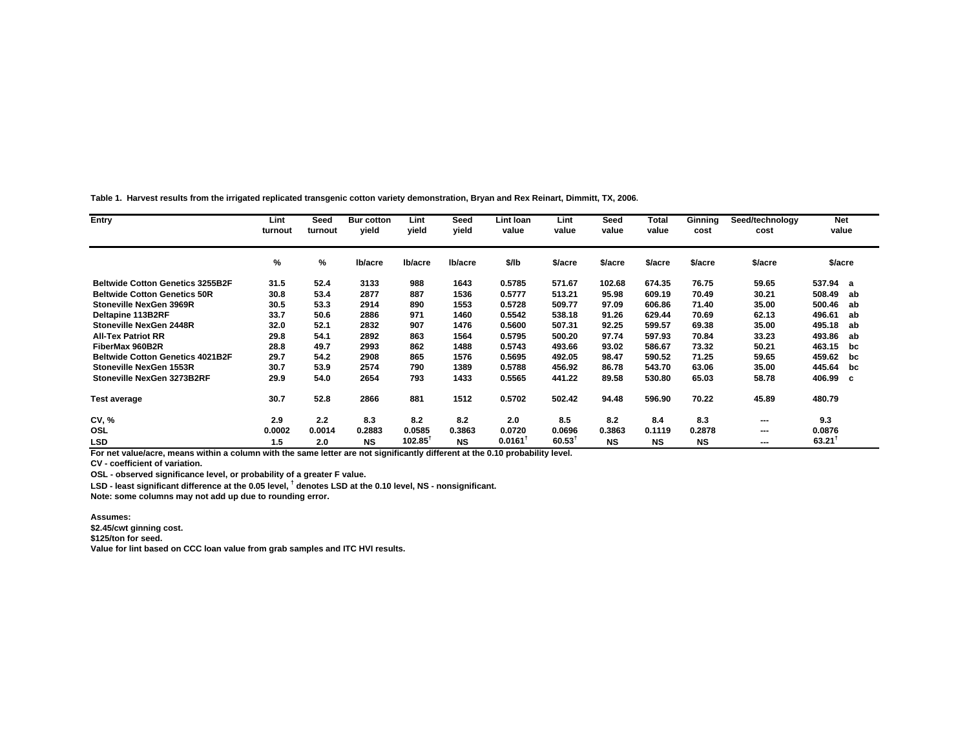**Table 1. Harvest results from the irrigated replicated transgenic cotton variety demonstration, Bryan and Rex Reinart, Dimmitt, TX, 2006.**

| Entry                                   | Lint<br>turnout | Seed<br>turnout | <b>Bur cotton</b><br>vield | Lint<br>vield         | Seed<br>vield | Lint Ioan<br>value | Lint<br>value        | Seed<br>value | Total<br>value | Ginning<br>cost | Seed/technology<br>cost | <b>Net</b><br>value |  |
|-----------------------------------------|-----------------|-----------------|----------------------------|-----------------------|---------------|--------------------|----------------------|---------------|----------------|-----------------|-------------------------|---------------------|--|
|                                         | %               | %               | Ib/acre                    | lb/acre               | lb/acre       | \$/lb              | \$/acre              | \$/acre       | \$/acre        | \$/acre         | \$/acre                 | \$/acre             |  |
| <b>Beltwide Cotton Genetics 3255B2F</b> | 31.5            | 52.4            | 3133                       | 988                   | 1643          | 0.5785             | 571.67               | 102.68        | 674.35         | 76.75           | 59.65                   | 537.94 a            |  |
| <b>Beltwide Cotton Genetics 50R</b>     | 30.8            | 53.4            | 2877                       | 887                   | 1536          | 0.5777             | 513.21               | 95.98         | 609.19         | 70.49           | 30.21                   | 508.49<br>ab        |  |
| Stoneville NexGen 3969R                 | 30.5            | 53.3            | 2914                       | 890                   | 1553          | 0.5728             | 509.77               | 97.09         | 606.86         | 71.40           | 35.00                   | 500.46<br>ab        |  |
| Deltapine 113B2RF                       | 33.7            | 50.6            | 2886                       | 971                   | 1460          | 0.5542             | 538.18               | 91.26         | 629.44         | 70.69           | 62.13                   | 496.61<br>ab        |  |
| Stoneville NexGen 2448R                 | 32.0            | 52.1            | 2832                       | 907                   | 1476          | 0.5600             | 507.31               | 92.25         | 599.57         | 69.38           | 35.00                   | 495.18<br>ab        |  |
| <b>All-Tex Patriot RR</b>               | 29.8            | 54.1            | 2892                       | 863                   | 1564          | 0.5795             | 500.20               | 97.74         | 597.93         | 70.84           | 33.23                   | 493.86<br>ab        |  |
| FiberMax 960B2R                         | 28.8            | 49.7            | 2993                       | 862                   | 1488          | 0.5743             | 493.66               | 93.02         | 586.67         | 73.32           | 50.21                   | 463.15<br>bc        |  |
| <b>Beltwide Cotton Genetics 4021B2F</b> | 29.7            | 54.2            | 2908                       | 865                   | 1576          | 0.5695             | 492.05               | 98.47         | 590.52         | 71.25           | 59.65                   | 459.62<br>bc        |  |
| Stoneville NexGen 1553R                 | 30.7            | 53.9            | 2574                       | 790                   | 1389          | 0.5788             | 456.92               | 86.78         | 543.70         | 63.06           | 35.00                   | 445.64<br>bc        |  |
| Stoneville NexGen 3273B2RF              | 29.9            | 54.0            | 2654                       | 793                   | 1433          | 0.5565             | 441.22               | 89.58         | 530.80         | 65.03           | 58.78                   | 406.99 c            |  |
| <b>Test average</b>                     | 30.7            | 52.8            | 2866                       | 881                   | 1512          | 0.5702             | 502.42               | 94.48         | 596.90         | 70.22           | 45.89                   | 480.79              |  |
| <b>CV, %</b>                            | 2.9             | 2.2             | 8.3                        | 8.2                   | 8.2           | 2.0                | 8.5                  | 8.2           | 8.4            | 8.3             | ---                     | 9.3                 |  |
| OSL                                     | 0.0002          | 0.0014          | 0.2883                     | 0.0585                | 0.3863        | 0.0720             | 0.0696               | 0.3863        | 0.1119         | 0.2878          | ---                     | 0.0876              |  |
| <b>LSD</b>                              | 1.5             | 2.0             | <b>NS</b>                  | $102.85$ <sup>1</sup> | <b>NS</b>     | 0.0161             | $60.53$ <sup>T</sup> | <b>NS</b>     | <b>NS</b>      | <b>NS</b>       | $- - -$                 | 63.21               |  |

**For net value/acre, means within a column with the same letter are not significantly different at the 0.10 probability level.**

**CV - coefficient of variation.**

**OSL - observed significance level, or probability of a greater F value.**

**LSD - least significant difference at the 0.05 level, † denotes LSD at the 0.10 level, NS - nonsignificant.**

**Note: some columns may not add up due to rounding error.**

#### **Assumes:**

**\$2.45/cwt ginning cost.**

**\$125/ton for seed.**

**Value for lint based on CCC loan value from grab samples and ITC HVI results.**